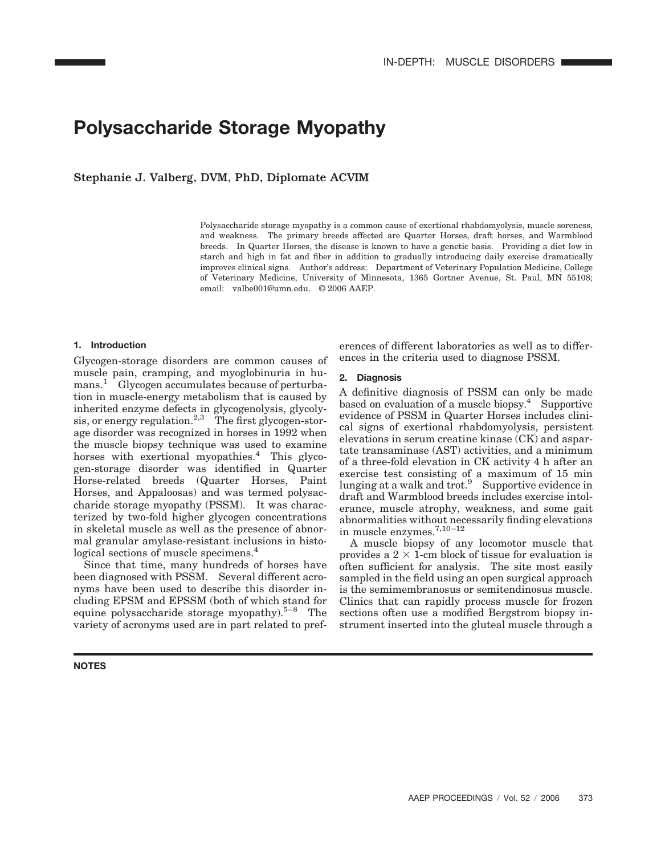# **Polysaccharide Storage Myopathy**

Stephanie J. Valberg, DVM, PhD, Diplomate ACVIM

Polysaccharide storage myopathy is a common cause of exertional rhabdomyolysis, muscle soreness, and weakness. The primary breeds affected are Quarter Horses, draft horses, and Warmblood breeds. In Quarter Horses, the disease is known to have a genetic basis. Providing a diet low in starch and high in fat and fiber in addition to gradually introducing daily exercise dramatically improves clinical signs. Author's address: Department of Veterinary Population Medicine, College of Veterinary Medicine, University of Minnesota, 1365 Gortner Avenue, St. Paul, MN 55108; email: valbe001@umn.edu. © 2006 AAEP.

## **1. Introduction**

Glycogen-storage disorders are common causes of muscle pain, cramping, and myoglobinuria in humans.<sup>1</sup> Glycogen accumulates because of perturbation in muscle-energy metabolism that is caused by inherited enzyme defects in glycogenolysis, glycolysis, or energy regulation.<sup>2,3</sup> The first glycogen-storage disorder was recognized in horses in 1992 when the muscle biopsy technique was used to examine horses with exertional myopathies.<sup>4</sup> This glycogen-storage disorder was identified in Quarter Horse-related breeds (Quarter Horses, Paint Horses, and Appaloosas) and was termed polysaccharide storage myopathy (PSSM). It was characterized by two-fold higher glycogen concentrations in skeletal muscle as well as the presence of abnormal granular amylase-resistant inclusions in histological sections of muscle specimens.<sup>4</sup>

Since that time, many hundreds of horses have been diagnosed with PSSM. Several different acronyms have been used to describe this disorder including EPSM and EPSSM (both of which stand for equine polysaccharide storage myopathy).<sup>5–8</sup> The variety of acronyms used are in part related to pref-

**NOTES**

erences of different laboratories as well as to differences in the criteria used to diagnose PSSM.

#### **2. Diagnosis**

A definitive diagnosis of PSSM can only be made based on evaluation of a muscle biopsy.<sup>4</sup> Supportive evidence of PSSM in Quarter Horses includes clinical signs of exertional rhabdomyolysis, persistent elevations in serum creatine kinase (CK) and aspartate transaminase (AST) activities, and a minimum of a three-fold elevation in CK activity 4 h after an exercise test consisting of a maximum of 15 min lunging at a walk and trot.<sup>9</sup> Supportive evidence in draft and Warmblood breeds includes exercise intolerance, muscle atrophy, weakness, and some gait abnormalities without necessarily finding elevations in muscle enzymes.<sup>7,10-12</sup>

A muscle biopsy of any locomotor muscle that provides a  $2 \times 1$ -cm block of tissue for evaluation is often sufficient for analysis. The site most easily sampled in the field using an open surgical approach is the semimembranosus or semitendinosus muscle. Clinics that can rapidly process muscle for frozen sections often use a modified Bergstrom biopsy instrument inserted into the gluteal muscle through a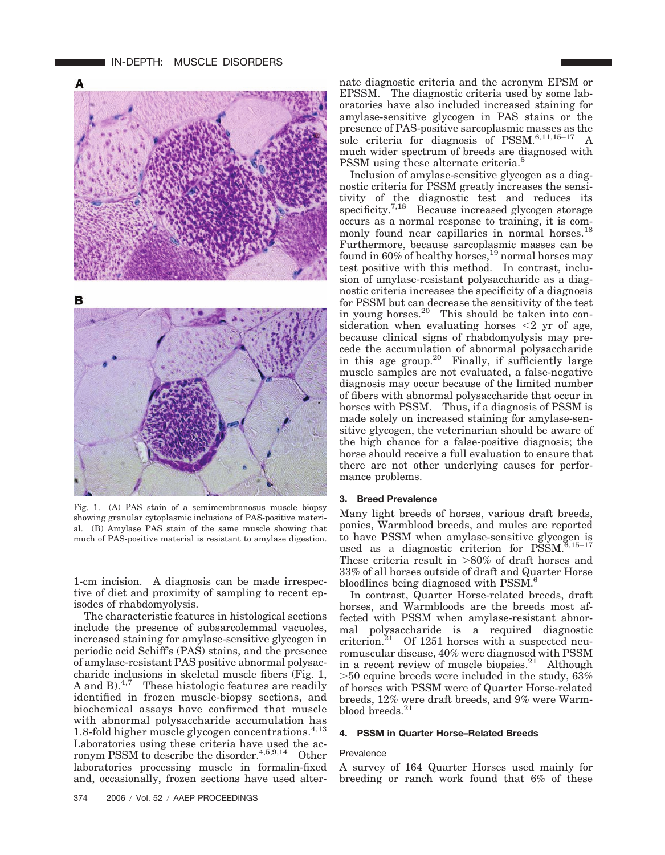

Fig. 1. (A) PAS stain of a semimembranosus muscle biopsy showing granular cytoplasmic inclusions of PAS-positive material. (B) Amylase PAS stain of the same muscle showing that much of PAS-positive material is resistant to amylase digestion.

1-cm incision. A diagnosis can be made irrespective of diet and proximity of sampling to recent episodes of rhabdomyolysis.

The characteristic features in histological sections include the presence of subsarcolemmal vacuoles, increased staining for amylase-sensitive glycogen in periodic acid Schiff's (PAS) stains, and the presence of amylase-resistant PAS positive abnormal polysaccharide inclusions in skeletal muscle fibers (Fig. 1, A and B). $4,7$  These histologic features are readily identified in frozen muscle-biopsy sections, and biochemical assays have confirmed that muscle with abnormal polysaccharide accumulation has 1.8-fold higher muscle glycogen concentrations. $4,13$ Laboratories using these criteria have used the acronym PSSM to describe the disorder.<sup>4,5,9,14</sup> Other laboratories processing muscle in formalin-fixed and, occasionally, frozen sections have used alternate diagnostic criteria and the acronym EPSM or EPSSM. The diagnostic criteria used by some laboratories have also included increased staining for amylase-sensitive glycogen in PAS stains or the presence of PAS-positive sarcoplasmic masses as the sole criteria for diagnosis of PSSM. $\overset{6,11,15-17}{\Lambda}$ much wider spectrum of breeds are diagnosed with PSSM using these alternate criteria.<sup>6</sup>

Inclusion of amylase-sensitive glycogen as a diagnostic criteria for PSSM greatly increases the sensitivity of the diagnostic test and reduces its specificity.<sup>7,18</sup> Because increased glycogen storage occurs as a normal response to training, it is commonly found near capillaries in normal horses.<sup>18</sup> Furthermore, because sarcoplasmic masses can be found in  $60\%$  of healthy horses,  $^{19}$  normal horses may test positive with this method. In contrast, inclusion of amylase-resistant polysaccharide as a diagnostic criteria increases the specificity of a diagnosis for PSSM but can decrease the sensitivity of the test in young horses.20 This should be taken into consideration when evaluating horses  $\leq 2$  yr of age, because clinical signs of rhabdomyolysis may precede the accumulation of abnormal polysaccharide in this age group.<sup>20</sup> Finally, if sufficiently large muscle samples are not evaluated, a false-negative diagnosis may occur because of the limited number of fibers with abnormal polysaccharide that occur in horses with PSSM. Thus, if a diagnosis of PSSM is made solely on increased staining for amylase-sensitive glycogen, the veterinarian should be aware of the high chance for a false-positive diagnosis; the horse should receive a full evaluation to ensure that there are not other underlying causes for performance problems.

### **3. Breed Prevalence**

Many light breeds of horses, various draft breeds, ponies, Warmblood breeds, and mules are reported to have PSSM when amylase-sensitive glycogen is used as a diagnostic criterion for  $\overline{PSSM}$ .<sup>6,15–17</sup> These criteria result in  $>80\%$  of draft horses and 33% of all horses outside of draft and Quarter Horse bloodlines being diagnosed with PSSM.6

In contrast, Quarter Horse-related breeds, draft horses, and Warmbloods are the breeds most affected with PSSM when amylase-resistant abnormal polysaccharide is a required diagnostic criterion. $21$  Of 1251 horses with a suspected neuromuscular disease, 40% were diagnosed with PSSM in a recent review of muscle biopsies.<sup>21</sup> Although  $>50$  equine breeds were included in the study, 63% of horses with PSSM were of Quarter Horse-related breeds, 12% were draft breeds, and 9% were Warmblood breeds.<sup>21</sup>

#### **4. PSSM in Quarter Horse–Related Breeds**

#### Prevalence

A survey of 164 Quarter Horses used mainly for breeding or ranch work found that 6% of these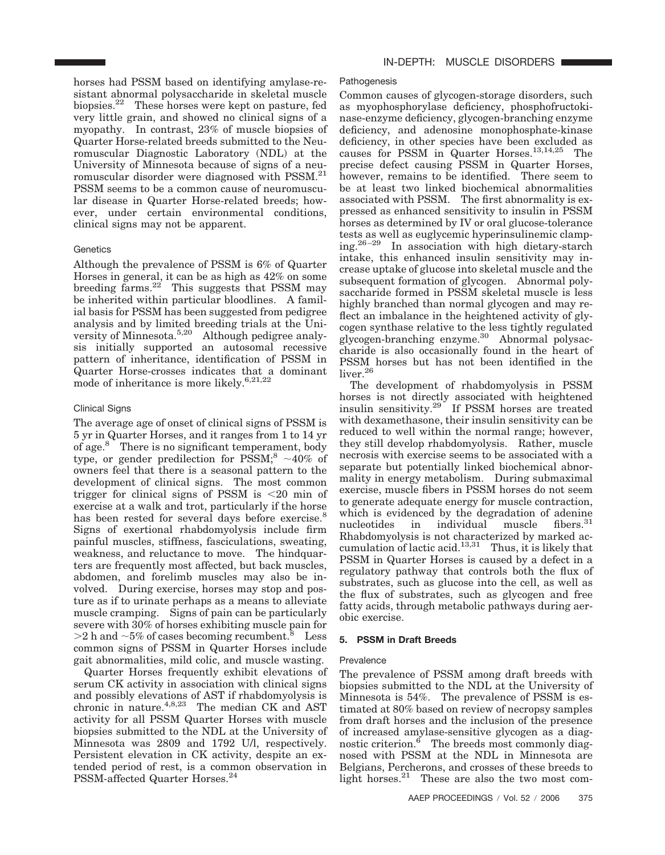horses had PSSM based on identifying amylase-resistant abnormal polysaccharide in skeletal muscle biopsies.22 These horses were kept on pasture, fed very little grain, and showed no clinical signs of a myopathy. In contrast, 23% of muscle biopsies of Quarter Horse-related breeds submitted to the Neuromuscular Diagnostic Laboratory (NDL) at the University of Minnesota because of signs of a neuromuscular disorder were diagnosed with PSSM.21 PSSM seems to be a common cause of neuromuscular disease in Quarter Horse-related breeds; however, under certain environmental conditions, clinical signs may not be apparent.

# **Genetics**

Although the prevalence of PSSM is 6% of Quarter Horses in general, it can be as high as 42% on some breeding farms.<sup>22</sup> This suggests that PSSM may be inherited within particular bloodlines. A familial basis for PSSM has been suggested from pedigree analysis and by limited breeding trials at the University of Minnesota.<sup>5,20</sup> Although pedigree analysis initially supported an autosomal recessive pattern of inheritance, identification of PSSM in Quarter Horse-crosses indicates that a dominant mode of inheritance is more likely. $6,21,22$ 

# Clinical Signs

The average age of onset of clinical signs of PSSM is 5 yr in Quarter Horses, and it ranges from 1 to 14 yr of age.8 There is no significant temperament, body type, or gender predilection for  $\text{PSSM}$ ;<sup>8</sup> ~40% of owners feel that there is a seasonal pattern to the development of clinical signs. The most common trigger for clinical signs of PSSM is  $\leq 20$  min of exercise at a walk and trot, particularly if the horse has been rested for several days before exercise.<sup>8</sup> Signs of exertional rhabdomyolysis include firm painful muscles, stiffness, fasciculations, sweating, weakness, and reluctance to move. The hindquarters are frequently most affected, but back muscles, abdomen, and forelimb muscles may also be involved. During exercise, horses may stop and posture as if to urinate perhaps as a means to alleviate muscle cramping. Signs of pain can be particularly severe with 30% of horses exhibiting muscle pain for  $>$ 2 h and  $\sim$  5% of cases becoming recumbent.<sup>8</sup> Less common signs of PSSM in Quarter Horses include gait abnormalities, mild colic, and muscle wasting.

Quarter Horses frequently exhibit elevations of serum CK activity in association with clinical signs and possibly elevations of AST if rhabdomyolysis is chronic in nature.<sup>4,8,23</sup> The median CK and AST activity for all PSSM Quarter Horses with muscle biopsies submitted to the NDL at the University of Minnesota was 2809 and 1792 U/l, respectively. Persistent elevation in CK activity, despite an extended period of rest, is a common observation in PSSM-affected Quarter Horses.24

## Pathogenesis

Common causes of glycogen-storage disorders, such as myophosphorylase deficiency, phosphofructokinase-enzyme deficiency, glycogen-branching enzyme deficiency, and adenosine monophosphate-kinase deficiency, in other species have been excluded as causes for PSSM in Quarter Horses.13,14,25 The precise defect causing PSSM in Quarter Horses, however, remains to be identified. There seem to be at least two linked biochemical abnormalities associated with PSSM. The first abnormality is expressed as enhanced sensitivity to insulin in PSSM horses as determined by IV or oral glucose-tolerance tests as well as euglycemic hyperinsulinemic clamping.<sup>26-29</sup> In association with high dietary-starch intake, this enhanced insulin sensitivity may increase uptake of glucose into skeletal muscle and the subsequent formation of glycogen. Abnormal polysaccharide formed in PSSM skeletal muscle is less highly branched than normal glycogen and may reflect an imbalance in the heightened activity of glycogen synthase relative to the less tightly regulated glycogen-branching enzyme.30 Abnormal polysaccharide is also occasionally found in the heart of PSSM horses but has not been identified in the liver.<sup>26</sup>

The development of rhabdomyolysis in PSSM horses is not directly associated with heightened insulin sensitivity.29 If PSSM horses are treated with dexamethasone, their insulin sensitivity can be reduced to well within the normal range; however, they still develop rhabdomyolysis. Rather, muscle necrosis with exercise seems to be associated with a separate but potentially linked biochemical abnormality in energy metabolism. During submaximal exercise, muscle fibers in PSSM horses do not seem to generate adequate energy for muscle contraction, which is evidenced by the degradation of adenine nucleotides in individual muscle fibers.<sup>31</sup> Rhabdomyolysis is not characterized by marked accumulation of lactic acid. $13,31$  Thus, it is likely that PSSM in Quarter Horses is caused by a defect in a regulatory pathway that controls both the flux of substrates, such as glucose into the cell, as well as the flux of substrates, such as glycogen and free fatty acids, through metabolic pathways during aerobic exercise.

# **5. PSSM in Draft Breeds**

# Prevalence

The prevalence of PSSM among draft breeds with biopsies submitted to the NDL at the University of Minnesota is 54%. The prevalence of PSSM is estimated at 80% based on review of necropsy samples from draft horses and the inclusion of the presence of increased amylase-sensitive glycogen as a diagnostic criterion. $\delta$  The breeds most commonly diagnosed with PSSM at the NDL in Minnesota are Belgians, Percherons, and crosses of these breeds to light horses.<sup>21</sup> These are also the two most com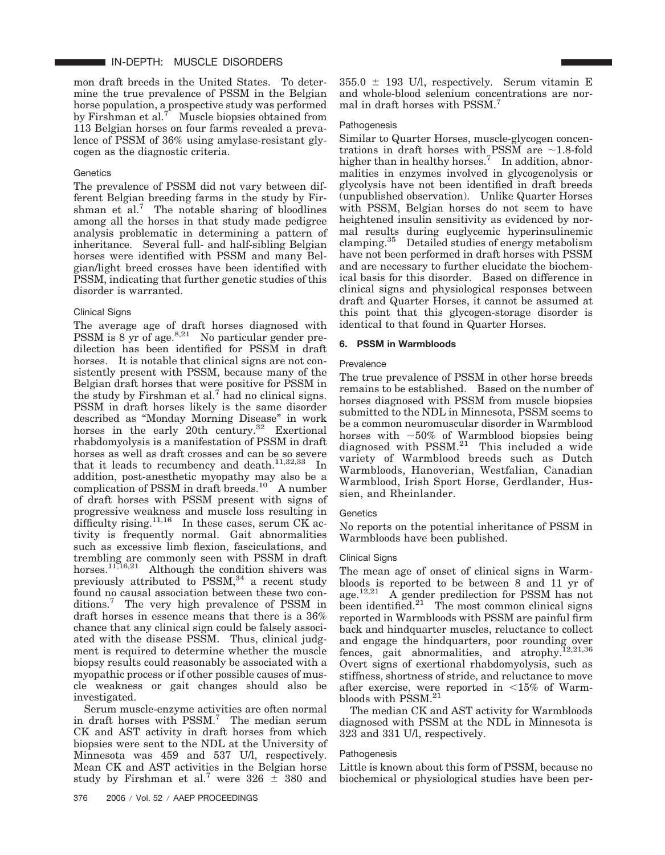mon draft breeds in the United States. To determine the true prevalence of PSSM in the Belgian horse population, a prospective study was performed by Firshman et al.<sup>7</sup> Muscle biopsies obtained from 113 Belgian horses on four farms revealed a prevalence of PSSM of 36% using amylase-resistant glycogen as the diagnostic criteria.

#### **Genetics**

The prevalence of PSSM did not vary between different Belgian breeding farms in the study by Firshman et  $al$ <sup>7</sup>. The notable sharing of bloodlines among all the horses in that study made pedigree analysis problematic in determining a pattern of inheritance. Several full- and half-sibling Belgian horses were identified with PSSM and many Belgian/light breed crosses have been identified with PSSM, indicating that further genetic studies of this disorder is warranted.

#### Clinical Signs

The average age of draft horses diagnosed with PSSM is  $8 \text{ yr}$  of age.<sup>8,21</sup> No particular gender predilection has been identified for PSSM in draft horses. It is notable that clinical signs are not consistently present with PSSM, because many of the Belgian draft horses that were positive for PSSM in the study by Firshman et al.<sup>7</sup> had no clinical signs. PSSM in draft horses likely is the same disorder described as "Monday Morning Disease" in work horses in the early 20th century.<sup>32</sup> Exertional rhabdomyolysis is a manifestation of PSSM in draft horses as well as draft crosses and can be so severe that it leads to recumbency and death.<sup>11,32,33</sup> In addition, post-anesthetic myopathy may also be a complication of PSSM in draft breeds.<sup>10</sup> A number of draft horses with PSSM present with signs of progressive weakness and muscle loss resulting in difficulty rising.<sup>11,16</sup> In these cases, serum  $\overrightarrow{CK}$  activity is frequently normal. Gait abnormalities such as excessive limb flexion, fasciculations, and trembling are commonly seen with PSSM in draft horses.<sup>11,16,21</sup> Although the condition shivers was previously attributed to  $PSSM$ ,  $34$  a recent study found no causal association between these two conditions.7 The very high prevalence of PSSM in draft horses in essence means that there is a 36% chance that any clinical sign could be falsely associated with the disease PSSM. Thus, clinical judgment is required to determine whether the muscle biopsy results could reasonably be associated with a myopathic process or if other possible causes of muscle weakness or gait changes should also be investigated.

Serum muscle-enzyme activities are often normal in draft horses with  $PSSM$ .<sup>7</sup> The median serum CK and AST activity in draft horses from which biopsies were sent to the NDL at the University of Minnesota was 459 and 537 U/l, respectively. Mean CK and AST activities in the Belgian horse study by Firshman et al.<sup>7</sup> were  $326 \pm 380$  and  $355.0 \pm 193$  U/l, respectively. Serum vitamin E and whole-blood selenium concentrations are normal in draft horses with PSSM.7

#### Pathogenesis

Similar to Quarter Horses, muscle-glycogen concentrations in draft horses with PSSM are  $\sim$ 1.8-fold higher than in healthy horses.<sup>7</sup> In addition, abnormalities in enzymes involved in glycogenolysis or glycolysis have not been identified in draft breeds (unpublished observation). Unlike Quarter Horses with PSSM, Belgian horses do not seem to have heightened insulin sensitivity as evidenced by normal results during euglycemic hyperinsulinemic clamping.35 Detailed studies of energy metabolism have not been performed in draft horses with PSSM and are necessary to further elucidate the biochemical basis for this disorder. Based on difference in clinical signs and physiological responses between draft and Quarter Horses, it cannot be assumed at this point that this glycogen-storage disorder is identical to that found in Quarter Horses.

#### **6. PSSM in Warmbloods**

#### Prevalence

The true prevalence of PSSM in other horse breeds remains to be established. Based on the number of horses diagnosed with PSSM from muscle biopsies submitted to the NDL in Minnesota, PSSM seems to be a common neuromuscular disorder in Warmblood horses with  $~50\%$  of Warmblood biopsies being diagnosed with  $PSSM.<sup>21</sup>$  This included a wide variety of Warmblood breeds such as Dutch Warmbloods, Hanoverian, Westfalian, Canadian Warmblood, Irish Sport Horse, Gerdlander, Hussien, and Rheinlander.

## **Genetics**

No reports on the potential inheritance of PSSM in Warmbloods have been published.

#### Clinical Signs

The mean age of onset of clinical signs in Warmbloods is reported to be between 8 and 11 yr of age.<sup>12,21</sup> A gender predilection for PSSM has not been identified. $21$  The most common clinical signs reported in Warmbloods with PSSM are painful firm back and hindquarter muscles, reluctance to collect and engage the hindquarters, poor rounding over fences, gait abnormalities, and atrophy.  $12,21,36$ Overt signs of exertional rhabdomyolysis, such as stiffness, shortness of stride, and reluctance to move after exercise, were reported in  $\leq 15\%$  of Warmbloods with PSSM.<sup>21</sup>

The median CK and AST activity for Warmbloods diagnosed with PSSM at the NDL in Minnesota is 323 and 331 U/l, respectively.

#### Pathogenesis

Little is known about this form of PSSM, because no biochemical or physiological studies have been per-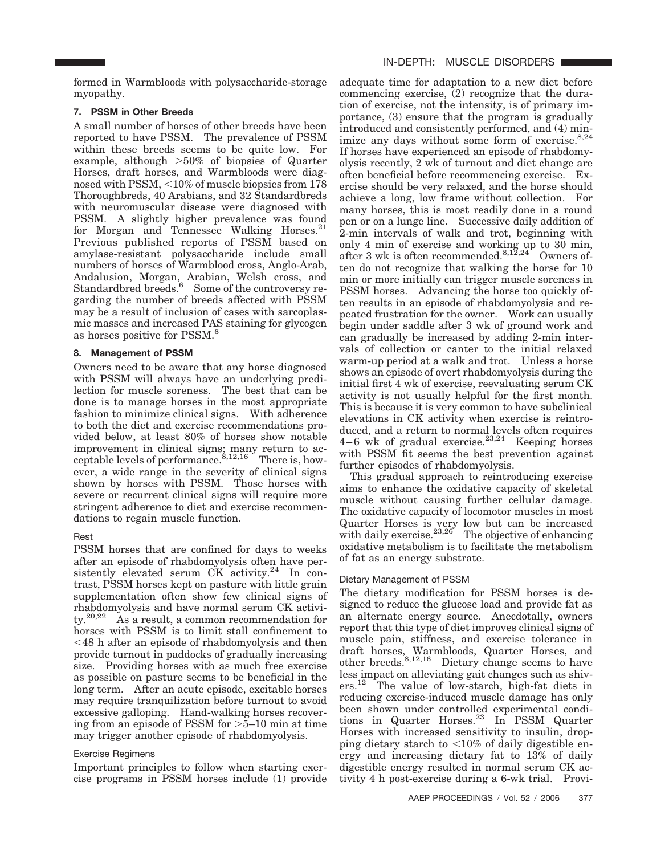# **7. PSSM in Other Breeds**

A small number of horses of other breeds have been reported to have PSSM. The prevalence of PSSM within these breeds seems to be quite low. For example, although  $>50\%$  of biopsies of Quarter Horses, draft horses, and Warmbloods were diagnosed with PSSM,  $<$  10% of muscle biopsies from 178 Thoroughbreds, 40 Arabians, and 32 Standardbreds with neuromuscular disease were diagnosed with PSSM. A slightly higher prevalence was found for Morgan and Tennessee Walking Horses.<sup>21</sup> Previous published reports of PSSM based on amylase-resistant polysaccharide include small numbers of horses of Warmblood cross, Anglo-Arab, Andalusion, Morgan, Arabian, Welsh cross, and Standardbred breeds.<sup>6</sup> Some of the controversy regarding the number of breeds affected with PSSM may be a result of inclusion of cases with sarcoplasmic masses and increased PAS staining for glycogen as horses positive for  $\mathrm{PSSM.^6}$ 

# **8. Management of PSSM**

Owners need to be aware that any horse diagnosed with PSSM will always have an underlying predilection for muscle soreness. The best that can be done is to manage horses in the most appropriate fashion to minimize clinical signs. With adherence to both the diet and exercise recommendations provided below, at least 80% of horses show notable improvement in clinical signs; many return to acceptable levels of performance.  $8,12,16$  There is, however, a wide range in the severity of clinical signs shown by horses with PSSM. Those horses with severe or recurrent clinical signs will require more stringent adherence to diet and exercise recommendations to regain muscle function.

# Rest

PSSM horses that are confined for days to weeks after an episode of rhabdomyolysis often have persistently elevated serum CK activity.<sup>24</sup> In contrast, PSSM horses kept on pasture with little grain supplementation often show few clinical signs of rhabdomyolysis and have normal serum CK activity.20,22 As a result, a common recommendation for horses with PSSM is to limit stall confinement to 48 h after an episode of rhabdomyolysis and then provide turnout in paddocks of gradually increasing size. Providing horses with as much free exercise as possible on pasture seems to be beneficial in the long term. After an acute episode, excitable horses may require tranquilization before turnout to avoid excessive galloping. Hand-walking horses recovering from an episode of PSSM for  $>5$ –10 min at time may trigger another episode of rhabdomyolysis.

# Exercise Regimens

Important principles to follow when starting exercise programs in PSSM horses include (1) provide adequate time for adaptation to a new diet before commencing exercise, (2) recognize that the duration of exercise, not the intensity, is of primary importance, (3) ensure that the program is gradually introduced and consistently performed, and (4) minimize any days without some form of exercise. $8,24$ If horses have experienced an episode of rhabdomyolysis recently, 2 wk of turnout and diet change are often beneficial before recommencing exercise. Exercise should be very relaxed, and the horse should achieve a long, low frame without collection. For many horses, this is most readily done in a round pen or on a lunge line. Successive daily addition of 2-min intervals of walk and trot, beginning with only 4 min of exercise and working up to 30 min, after 3 wk is often recommended.<sup>8,12,24</sup> Owners often do not recognize that walking the horse for 10 min or more initially can trigger muscle soreness in PSSM horses. Advancing the horse too quickly often results in an episode of rhabdomyolysis and repeated frustration for the owner. Work can usually begin under saddle after 3 wk of ground work and can gradually be increased by adding 2-min intervals of collection or canter to the initial relaxed warm-up period at a walk and trot. Unless a horse shows an episode of overt rhabdomyolysis during the initial first 4 wk of exercise, reevaluating serum CK activity is not usually helpful for the first month. This is because it is very common to have subclinical elevations in CK activity when exercise is reintroduced, and a return to normal levels often requires  $4-6$  wk of gradual exercise.<sup>23,24</sup> Keeping horses with PSSM fit seems the best prevention against further episodes of rhabdomyolysis.

This gradual approach to reintroducing exercise aims to enhance the oxidative capacity of skeletal muscle without causing further cellular damage. The oxidative capacity of locomotor muscles in most Quarter Horses is very low but can be increased with daily exercise. $23,26$  The objective of enhancing oxidative metabolism is to facilitate the metabolism of fat as an energy substrate.

# Dietary Management of PSSM

The dietary modification for PSSM horses is designed to reduce the glucose load and provide fat as an alternate energy source. Anecdotally, owners report that this type of diet improves clinical signs of muscle pain, stiffness, and exercise tolerance in draft horses, Warmbloods, Quarter Horses, and other breeds.<sup>8,12,16</sup> Dietary change seems to have less impact on alleviating gait changes such as shivers.12 The value of low-starch, high-fat diets in reducing exercise-induced muscle damage has only been shown under controlled experimental conditions in Quarter Horses. $^{23}$  In PSSM Quarter Horses with increased sensitivity to insulin, dropping dietary starch to  $\langle 10\%$  of daily digestible energy and increasing dietary fat to 13% of daily digestible energy resulted in normal serum CK activity 4 h post-exercise during a 6-wk trial. Provi-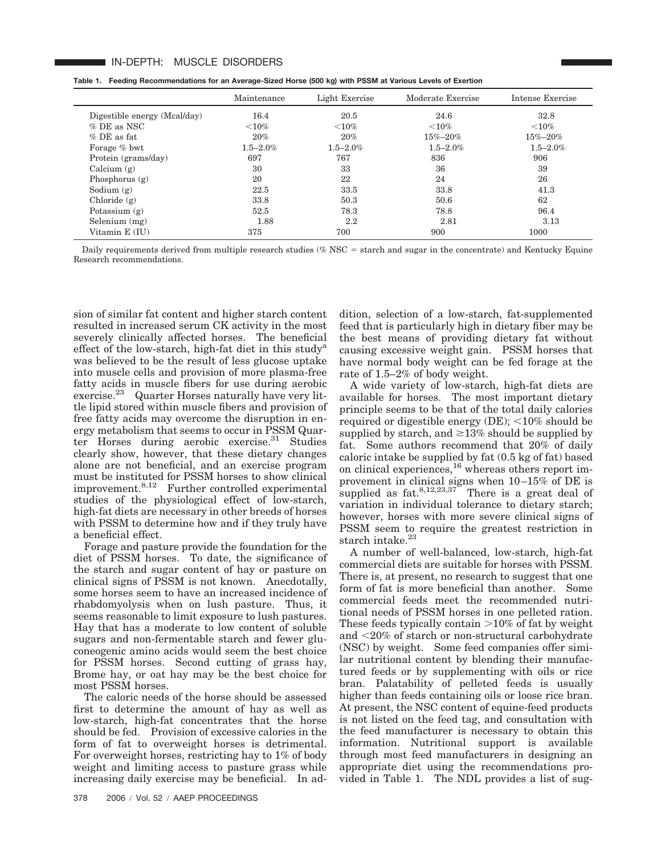#### IN-DEPTH: MUSCLE DISORDERS

|  |  |  |  | Table 1. Feeding Recommendations for an Average-Sized Horse (500 kg) with PSSM at Various Levels of Exertion |
|--|--|--|--|--------------------------------------------------------------------------------------------------------------|
|--|--|--|--|--------------------------------------------------------------------------------------------------------------|

|                              | Maintenance   | Light Exercise | Moderate Exercise | Intense Exercise |
|------------------------------|---------------|----------------|-------------------|------------------|
| Digestible energy (Mcal/day) | 16.4          | 20.5           | 24.6              | 32.8             |
| $\%$ DE as NSC.              | ${<}10\%$     | ${<}10\%$      | ${<}10%$          | ${<}10\%$        |
| $%$ DE as fat.               | 20%           | 20%            | $15\% - 20\%$     | $15\% - 20\%$    |
| Forage % bwt                 | $1.5 - 2.0\%$ | $1.5 - 2.0\%$  | $1.5 - 2.0\%$     | $1.5 - 2.0\%$    |
| Protein (grams/day)          | 697           | 767            | 836               | 906              |
| Calcium $(g)$                | 30            | 33             | 36                | 39               |
| Phosphorus $(g)$             | 20            | 22             | 24                | 26               |
| Sodium $(g)$                 | 22.5          | 33.5           | 33.8              | 41.3             |
| Chloride $(g)$               | 33.8          | 50.3           | 50.6              | 62               |
| Potassium $(g)$              | 52.5          | 78.3           | 78.8              | 96.4             |
| Selenium (mg)                | 1.88          | $2.2\,$        | 2.81              | 3.13             |
| Vitamin E (IU)               | 375           | 700            | 900               | 1000             |

Daily requirements derived from multiple research studies ( $%$  NSC = starch and sugar in the concentrate) and Kentucky Equine Research recommendations.

sion of similar fat content and higher starch content resulted in increased serum CK activity in the most severely clinically affected horses. The beneficial effect of the low-starch, high-fat diet in this studya was believed to be the result of less glucose uptake into muscle cells and provision of more plasma-free fatty acids in muscle fibers for use during aerobic exercise.<sup>23</sup> Quarter Horses naturally have very little lipid stored within muscle fibers and provision of free fatty acids may overcome the disruption in energy metabolism that seems to occur in PSSM Quarter Horses during aerobic exercise.<sup>31</sup> Studies clearly show, however, that these dietary changes alone are not beneficial, and an exercise program must be instituted for PSSM horses to show clinical improvement.8,12 Further controlled experimental studies of the physiological effect of low-starch, high-fat diets are necessary in other breeds of horses with PSSM to determine how and if they truly have a beneficial effect.

Forage and pasture provide the foundation for the diet of PSSM horses. To date, the significance of the starch and sugar content of hay or pasture on clinical signs of PSSM is not known. Anecdotally, some horses seem to have an increased incidence of rhabdomyolysis when on lush pasture. Thus, it seems reasonable to limit exposure to lush pastures. Hay that has a moderate to low content of soluble sugars and non-fermentable starch and fewer gluconeogenic amino acids would seem the best choice for PSSM horses. Second cutting of grass hay, Brome hay, or oat hay may be the best choice for most PSSM horses.

The caloric needs of the horse should be assessed first to determine the amount of hay as well as low-starch, high-fat concentrates that the horse should be fed. Provision of excessive calories in the form of fat to overweight horses is detrimental. For overweight horses, restricting hay to 1% of body weight and limiting access to pasture grass while increasing daily exercise may be beneficial. In addition, selection of a low-starch, fat-supplemented feed that is particularly high in dietary fiber may be the best means of providing dietary fat without causing excessive weight gain. PSSM horses that have normal body weight can be fed forage at the rate of 1.5–2% of body weight.

A wide variety of low-starch, high-fat diets are available for horses. The most important dietary principle seems to be that of the total daily calories required or digestible energy  $(DE)$ ;  $\leq 10\%$  should be supplied by starch, and  $\geq 13\%$  should be supplied by fat. Some authors recommend that 20% of daily caloric intake be supplied by fat (0.5 kg of fat) based on clinical experiences,<sup>16</sup> whereas others report improvement in clinical signs when 10 –15% of DE is supplied as fat.<sup>8,12,23,37</sup> There is a great deal of variation in individual tolerance to dietary starch; however, horses with more severe clinical signs of PSSM seem to require the greatest restriction in starch intake. $23$ 

A number of well-balanced, low-starch, high-fat commercial diets are suitable for horses with PSSM. There is, at present, no research to suggest that one form of fat is more beneficial than another. Some commercial feeds meet the recommended nutritional needs of PSSM horses in one pelleted ration. These feeds typically contain  $>10\%$  of fat by weight and 20% of starch or non-structural carbohydrate (NSC) by weight. Some feed companies offer similar nutritional content by blending their manufactured feeds or by supplementing with oils or rice bran. Palatability of pelleted feeds is usually higher than feeds containing oils or loose rice bran. At present, the NSC content of equine-feed products is not listed on the feed tag, and consultation with the feed manufacturer is necessary to obtain this information. Nutritional support is available through most feed manufacturers in designing an appropriate diet using the recommendations provided in Table 1. The NDL provides a list of sug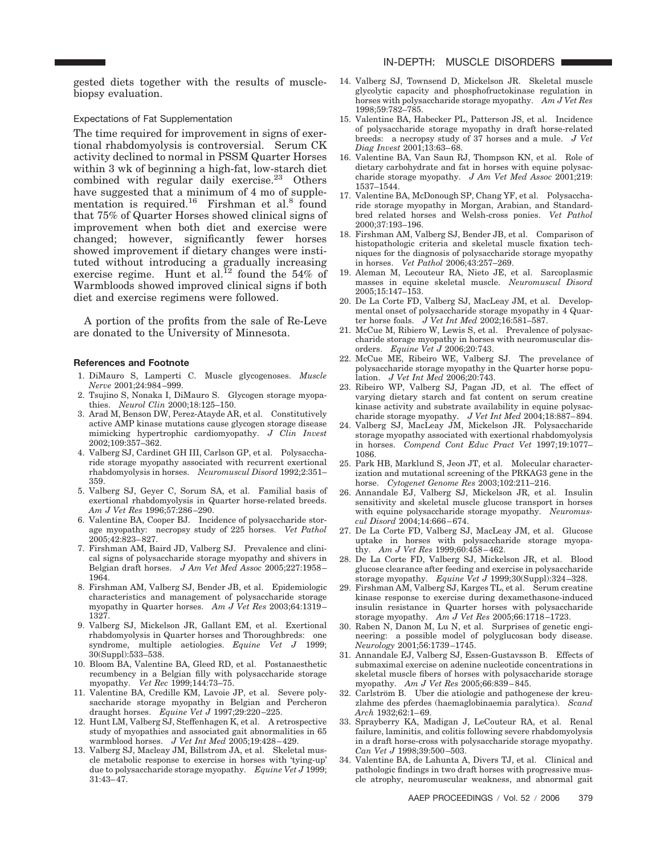gested diets together with the results of musclebiopsy evaluation.

#### Expectations of Fat Supplementation

The time required for improvement in signs of exertional rhabdomyolysis is controversial. Serum CK activity declined to normal in PSSM Quarter Horses within 3 wk of beginning a high-fat, low-starch diet combined with regular daily exercise. $^{23}$  Others have suggested that a minimum of 4 mo of supplementation is required.<sup>16</sup> Firshman et al.<sup>8</sup> found that 75% of Quarter Horses showed clinical signs of improvement when both diet and exercise were changed; however, significantly fewer horses showed improvement if dietary changes were instituted without introducing a gradually increasing exercise regime. Hunt et al.<sup>12</sup> found the 54% of Warmbloods showed improved clinical signs if both diet and exercise regimens were followed.

A portion of the profits from the sale of Re-Leve are donated to the University of Minnesota.

#### **References and Footnote**

- 1. DiMauro S, Lamperti C. Muscle glycogenoses. *Muscle Nerve* 2001;24:984 –999.
- 2. Tsujino S, Nonaka I, DiMauro S. Glycogen storage myopathies. *Neurol Clin* 2000;18:125–150.
- 3. Arad M, Benson DW, Perez-Atayde AR, et al. Constitutively active AMP kinase mutations cause glycogen storage disease mimicking hypertrophic cardiomyopathy. *J Clin Invest* 2002;109:357–362.
- 4. Valberg SJ, Cardinet GH III, Carlson GP, et al. Polysaccharide storage myopathy associated with recurrent exertional rhabdomyolysis in horses. *Neuromuscul Disord* 1992;2:351– 359.
- 5. Valberg SJ, Geyer C, Sorum SA, et al. Familial basis of exertional rhabdomyolysis in Quarter horse-related breeds. *Am J Vet Res* 1996;57:286 –290.
- 6. Valentine BA, Cooper BJ. Incidence of polysaccharide storage myopathy: necropsy study of 225 horses. *Vet Pathol* 2005;42:823– 827.
- 7. Firshman AM, Baird JD, Valberg SJ. Prevalence and clinical signs of polysaccharide storage myopathy and shivers in Belgian draft horses. *J Am Vet Med Assoc* 2005;227:1958 – 1964.
- 8. Firshman AM, Valberg SJ, Bender JB, et al. Epidemiologic characteristics and management of polysaccharide storage myopathy in Quarter horses. *Am J Vet Res* 2003;64:1319 – 1327.
- 9. Valberg SJ, Mickelson JR, Gallant EM, et al. Exertional rhabdomyolysis in Quarter horses and Thoroughbreds: one syndrome, multiple aetiologies. *Equine Vet J* 1999; 30(Suppl):533–538.
- 10. Bloom BA, Valentine BA, Gleed RD, et al. Postanaesthetic recumbency in a Belgian filly with polysaccharide storage myopathy. *Vet Rec* 1999;144:73–75.
- 11. Valentine BA, Credille KM, Lavoie JP, et al. Severe polysaccharide storage myopathy in Belgian and Percheron draught horses. *Equine Vet J* 1997;29:220 –225.
- 12. Hunt LM, Valberg SJ, Steffenhagen K, et al. A retrospective study of myopathies and associated gait abnormalities in 65 warmblood horses. *J Vet Int Med* 2005;19:428 – 429.
- 13. Valberg SJ, Macleay JM, Billstrom JA, et al. Skeletal muscle metabolic response to exercise in horses with 'tying-up' due to polysaccharide storage myopathy. *Equine Vet J* 1999; 31:43– 47.
- 14. Valberg SJ, Townsend D, Mickelson JR. Skeletal muscle glycolytic capacity and phosphofructokinase regulation in horses with polysaccharide storage myopathy. *Am J Vet Res* 1998;59:782–785.
- 15. Valentine BA, Habecker PL, Patterson JS, et al. Incidence of polysaccharide storage myopathy in draft horse-related breeds: a necropsy study of 37 horses and a mule. *J Vet Diag Invest* 2001;13:63– 68.
- 16. Valentine BA, Van Saun RJ, Thompson KN, et al. Role of dietary carbohydrate and fat in horses with equine polysaccharide storage myopathy. *J Am Vet Med Assoc* 2001;219: 1537–1544.
- 17. Valentine BA, McDonough SP, Chang YF, et al. Polysaccharide storage myopathy in Morgan, Arabian, and Standardbred related horses and Welsh-cross ponies. *Vet Pathol* 2000;37:193–196.
- 18. Firshman AM, Valberg SJ, Bender JB, et al. Comparison of histopathologic criteria and skeletal muscle fixation techniques for the diagnosis of polysaccharide storage myopathy in horses. *Vet Pathol* 2006;43:257–269.
- 19. Aleman M, Lecouteur RA, Nieto JE, et al. Sarcoplasmic masses in equine skeletal muscle. *Neuromuscul Disord* 2005;15:147–153.
- 20. De La Corte FD, Valberg SJ, MacLeay JM, et al. Developmental onset of polysaccharide storage myopathy in 4 Quarter horse foals. *J Vet Int Med* 2002;16:581–587.
- 21. McCue M, Ribiero W, Lewis S, et al. Prevalence of polysaccharide storage myopathy in horses with neuromuscular disorders. *Equine Vet J* 2006;20:743.
- 22. McCue ME, Ribeiro WE, Valberg SJ. The prevelance of polysaccharide storage myopathy in the Quarter horse population. *J Vet Int Med* 2006;20:743.
- 23. Ribeiro WP, Valberg SJ, Pagan JD, et al. The effect of varying dietary starch and fat content on serum creatine kinase activity and substrate availability in equine polysaccharide storage myopathy. *J Vet Int Med* 2004;18:887– 894.
- 24. Valberg SJ, MacLeay JM, Mickelson JR. Polysaccharide storage myopathy associated with exertional rhabdomyolysis in horses. *Compend Cont Educ Pract Vet* 1997;19:1077– 1086.
- 25. Park HB, Marklund S, Jeon JT, et al. Molecular characterization and mutational screening of the PRKAG3 gene in the horse. *Cytogenet Genome Res* 2003;102:211–216.
- 26. Annandale EJ, Valberg SJ, Mickelson JR, et al. Insulin sensitivity and skeletal muscle glucose transport in horses with equine polysaccharide storage myopathy. *Neuromuscul Disord* 2004;14:666 – 674.
- 27. De La Corte FD, Valberg SJ, MacLeay JM, et al. Glucose uptake in horses with polysaccharide storage myopathy. *Am J Vet Res* 1999;60:458 – 462.
- 28. De La Corte FD, Valberg SJ, Mickelson JR, et al. Blood glucose clearance after feeding and exercise in polysaccharide storage myopathy. *Equine Vet J* 1999;30(Suppl):324 –328.
- 29. Firshman AM, Valberg SJ, Karges TL, et al. Serum creatine kinase response to exercise during dexamethasone-induced insulin resistance in Quarter horses with polysaccharide storage myopathy. *Am J Vet Res* 2005;66:1718 –1723.
- 30. Raben N, Danon M, Lu N, et al. Surprises of genetic engineering: a possible model of polyglucosan body disease. *Neurology* 2001;56:1739 –1745.
- 31. Annandale EJ, Valberg SJ, Essen-Gustavsson B. Effects of submaximal exercise on adenine nucleotide concentrations in skeletal muscle fibers of horses with polysaccharide storage myopathy. *Am J Vet Res* 2005;66:839 – 845.
- 32. Carlström B. Uber die atiologie and pathogenese der kreuzlahme des pferdes (haemaglobinaemia paralytica). *Scand Arch* 1932;62:1– 69.
- 33. Sprayberry KA, Madigan J, LeCouteur RA, et al. Renal failure, laminitis, and colitis following severe rhabdomyolysis in a draft horse-cross with polysaccharide storage myopathy. *Can Vet J* 1998;39:500 –503.
- 34. Valentine BA, de Lahunta A, Divers TJ, et al. Clinical and pathologic findings in two draft horses with progressive muscle atrophy, neuromuscular weakness, and abnormal gait